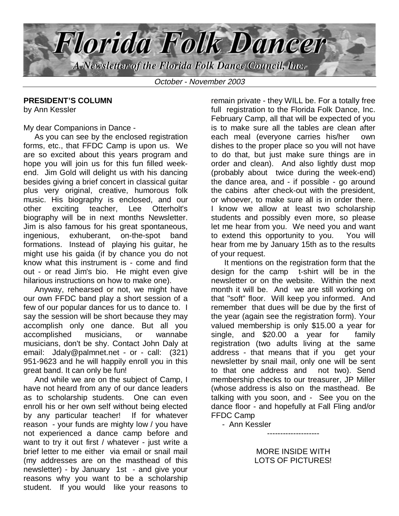

October - November 2003

## **PRESIDENT'S COLUMN**

by Ann Kessler

My dear Companions in Dance -

 As you can see by the enclosed registration forms, etc., that FFDC Camp is upon us. We are so excited about this years program and hope you will join us for this fun filled weekend. Jim Gold will delight us with his dancing besides giving a brief concert in classical guitar plus very original, creative, humorous folk music. His biography is enclosed, and our other exciting teacher, Lee Otterholt's biography will be in next months Newsletter. Jim is also famous for his great spontaneous, ingenious, exhuberant, on-the-spot band formations. Instead of playing his guitar, he might use his gaida (if by chance you do not know what this instrument is - come and find out - or read Jim's bio. He might even give hilarious instructions on how to make one).

 Anyway, rehearsed or not, we might have our own FFDC band play a short session of a few of our popular dances for us to dance to. I say the session will be short because they may accomplish only one dance. But all you accomplished musicians, or wannabe musicians, don't be shy. Contact John Daly at email: Jdaly@palmnet.net - or - call: (321) 951-9623 and he will happily enroll you in this great band. It can only be fun!

 And while we are on the subject of Camp, I have not heard from any of our dance leaders as to scholarship students. One can even enroll his or her own self without being elected by any particular teacher! If for whatever reason - your funds are mighty low / you have not experienced a dance camp before and want to try it out first / whatever - just write a brief letter to me either via email or snail mail (my addresses are on the masthead of this newsletter) - by January 1st - and give your reasons why you want to be a scholarship student. If you would like your reasons to

remain private - they WILL be. For a totally free full registration to the Florida Folk Dance, Inc. February Camp, all that will be expected of you is to make sure all the tables are clean after each meal (everyone carries his/her own dishes to the proper place so you will not have to do that, but just make sure things are in order and clean). And also lightly dust mop (probably about twice during the week-end) the dance area, and - if possible - go around the cabins after check-out with the president, or whoever, to make sure all is in order there. I know we allow at least two scholarship students and possibly even more, so please let me hear from you. We need you and want to extend this opportunity to you. You will hear from me by January 15th as to the results of your request.

 It mentions on the registration form that the design for the camp t-shirt will be in the newsletter or on the website. Within the next month it will be. And we are still working on that "soft" floor. Will keep you informed. And remember that dues will be due by the first of the year (again see the registration form). Your valued membership is only \$15.00 a year for single, and \$20.00 a year for family registration (two adults living at the same address - that means that if you get your newsletter by snail mail, only one will be sent to that one address and not two). Send membership checks to our treasurer, JP Miller (whose address is also on the masthead. Be talking with you soon, and - See you on the dance floor - and hopefully at Fall Fling and/or FFDC Camp

- Ann Kessler

MORE INSIDE WITH LOTS OF PICTURES!

--------------------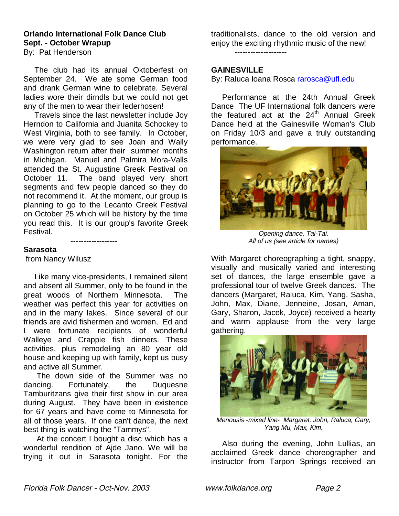# **Orlando International Folk Dance Club Sept. - October Wrapup**

By: Pat Henderson

 The club had its annual Oktoberfest on September 24. We ate some German food and drank German wine to celebrate. Several ladies wore their dirndls but we could not get any of the men to wear their lederhosen!

 Travels since the last newsletter include Joy Herndon to California and Juanita Schockey to West Virginia, both to see family. In October, we were very glad to see Joan and Wally Washington return after their summer months in Michigan. Manuel and Palmira Mora-Valls attended the St. Augustine Greek Festival on October 11. The band played very short segments and few people danced so they do not recommend it. At the moment, our group is planning to go to the Lecanto Greek Festival on October 25 which will be history by the time you read this. It is our group's favorite Greek Festival.

------------------

**Sarasota**

from Nancy Wilusz

 Like many vice-presidents, I remained silent and absent all Summer, only to be found in the great woods of Northern Minnesota. The weather was perfect this year for activities on and in the many lakes. Since several of our friends are avid fishermen and women, Ed and I were fortunate recipients of wonderful Walleye and Crappie fish dinners. These activities, plus remodeling an 80 year old house and keeping up with family, kept us busy and active all Summer.

 The down side of the Summer was no dancing. Fortunately, the Duquesne Tamburitzans give their first show in our area during August. They have been in existence for 67 years and have come to Minnesota for all of those years. If one can't dance, the next best thing is watching the "Tammys".

 At the concert I bought a disc which has a wonderful rendition of Ajde Jano. We will be trying it out in Sarasota tonight. For the

traditionalists, dance to the old version and enjoy the exciting rhythmic music of the new! --------------------

#### **GAINESVILLE**

By: Raluca Ioana Rosca rarosca@ufl.edu

 Performance at the 24th Annual Greek Dance The UF International folk dancers were the featured act at the  $24<sup>th</sup>$  Annual Greek Dance held at the Gainesville Woman's Club on Friday 10/3 and gave a truly outstanding performance.



Opening dance, Tai-Tai. All of us (see article for names)

With Margaret choreographing a tight, snappy, visually and musically varied and interesting set of dances, the large ensemble gave a professional tour of twelve Greek dances. The dancers (Margaret, Raluca, Kim, Yang, Sasha, John, Max, Diane, Jenneine, Josan, Aman, Gary, Sharon, Jacek, Joyce) received a hearty and warm applause from the very large gathering.



Menousis -mixed line- Margaret, John, Raluca, Gary, Yang Mu, Max, Kim.

 Also during the evening, John Lullias, an acclaimed Greek dance choreographer and instructor from Tarpon Springs received an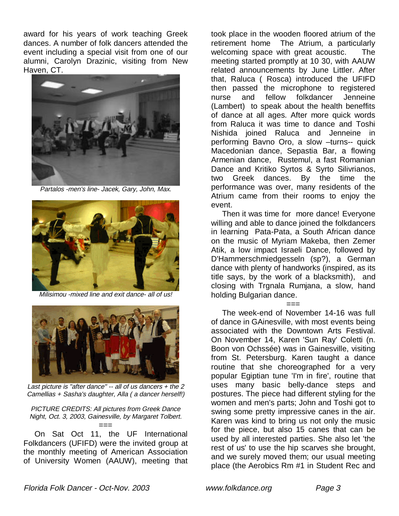award for his years of work teaching Greek dances. A number of folk dancers attended the event including a special visit from one of our alumni, Carolyn Drazinic, visiting from New Haven, CT.



Partalos -men's line- Jacek, Gary, John, Max.



Milisimou -mixed line and exit dance- all of us!



Last picture is "after dance"  $-$  all of us dancers  $+$  the 2 Camellias + Sasha's daughter, Alla ( a dancer herself!)

PICTURE CREDITS: All pictures from Greek Dance Night, Oct. 3, 2003, Gainesville, by Margaret Tolbert.

=== On Sat Oct 11, the UF International Folkdancers (UFIFD) were the invited group at the monthly meeting of American Association of University Women (AAUW), meeting that

took place in the wooden floored atrium of the retirement home The Atrium, a particularly welcoming space with great acoustic. The meeting started promptly at 10 30, with AAUW related announcements by June Littler. After that, Raluca ( Rosca) introduced the UFIFD then passed the microphone to registered nurse and fellow folkdancer Jenneine (Lambert) to speak about the health beneffits of dance at all ages. After more quick words from Raluca it was time to dance and Toshi Nishida joined Raluca and Jenneine in performing Bavno Oro, a slow –turns-- quick Macedonian dance, Sepastia Bar, a flowing Armenian dance, Rustemul, a fast Romanian Dance and Kritiko Syrtos & Syrto Silivrianos, two Greek dances. By the time the performance was over, many residents of the Atrium came from their rooms to enjoy the event.

 Then it was time for more dance! Everyone willing and able to dance joined the folkdancers in learning Pata-Pata, a South African dance on the music of Myriam Makeba, then Zemer Atik, a low impact Israeli Dance, followed by D'Hammerschmiedgesseln (sp?), a German dance with plenty of handworks (inspired, as its title says, by the work of a blacksmith), and closing with Trgnala Rumjana, a slow, hand holding Bulgarian dance.

=== The week-end of November 14-16 was full of dance in GAinesville, with most events being associated with the Downtown Arts Festival. On November 14, Karen 'Sun Ray' Coletti (n. Boon von Ochssée) was in Gainesville, visiting from St. Petersburg. Karen taught a dance routine that she choreographed for a very popular Egiptian tune 'I'm in fire', routine that uses many basic belly-dance steps and postures. The piece had different styling for the women and men's parts; John and Toshi got to swing some pretty impressive canes in the air. Karen was kind to bring us not only the music for the piece, but also 15 canes that can be used by all interested parties. She also let 'the rest of us' to use the hip scarves she brought, and we surely moved them; our usual meeting place (the Aerobics Rm #1 in Student Rec and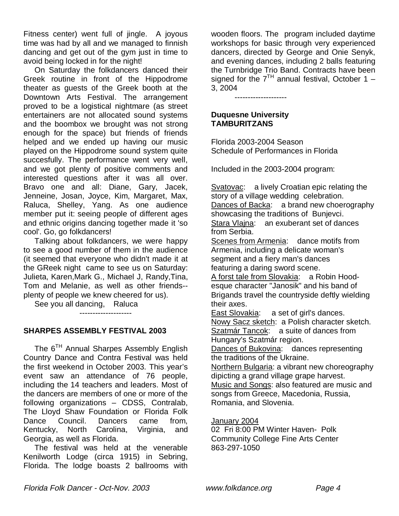Fitness center) went full of jingle. A joyous time was had by all and we managed to finnish dancing and get out of the gym just in time to avoid being locked in for the night!

 On Saturday the folkdancers danced their Greek routine in front of the Hippodrome theater as guests of the Greek booth at the Downtown Arts Festival. The arrangement proved to be a logistical nightmare (as street entertainers are not allocated sound systems and the boombox we brought was not strong enough for the space) but friends of friends helped and we ended up having our music played on the Hippodrome sound system quite succesfully. The performance went very well, and we got plenty of positive comments and interested questions after it was all over. Bravo one and all: Diane, Gary, Jacek, Jenneine, Josan, Joyce, Kim, Margaret, Max, Raluca, Shelley, Yang. As one audience member put it: seeing people of different ages and ethnic origins dancing together made it 'so cool'. Go, go folkdancers!

 Talking about folkdancers, we were happy to see a good number of them in the audience (it seemed that everyone who didn't made it at the GReek night came to see us on Saturday: Julieta, Karen,Mark G., Michael J, Randy,Tina, Tom and Melanie, as well as other friends- plenty of people we knew cheered for us).

See you all dancing, Raluca

--------------------

## **SHARPES ASSEMBLY FESTIVAL 2003**

The 6<sup>TH</sup> Annual Sharpes Assembly English Country Dance and Contra Festival was held the first weekend in October 2003. This year's event saw an attendance of 76 people, including the 14 teachers and leaders. Most of the dancers are members of one or more of the following organizations – CDSS, Contralab, The Lloyd Shaw Foundation or Florida Folk Dance Council. Dancers came from, Kentucky, North Carolina, Virginia, and Georgia, as well as Florida.

 The festival was held at the venerable Kenilworth Lodge (circa 1915) in Sebring, Florida. The lodge boasts 2 ballrooms with

wooden floors. The program included daytime workshops for basic through very experienced dancers, directed by George and Onie Senyk, and evening dances, including 2 balls featuring the Turnbridge Trio Band. Contracts have been signed for the  $7<sup>TH</sup>$  annual festival, October 1 – 3, 2004

--------------------

#### **Duquesne University TAMBURITZANS**

Florida 2003-2004 Season Schedule of Performances in Florida

Included in the 2003-2004 program:

Svatovac: a lively Croatian epic relating the story of a village wedding celebration. Dances of Backa: a brand new choerography showcasing the traditions of Bunjevci. Stara Vlajna: an exuberant set of dances from Serbia.

Scenes from Armenia: dance motifs from Armenia, including a delicate woman's segment and a fiery man's dances featuring a daring sword scene.

A forst tale from Slovakia: a Robin Hoodesque character "Janosik" and his band of Brigands travel the countryside deftly wielding their axes.

East Slovakia: a set of girl's dances. Nowy Sacz sketch: a Polish character sketch. Szatmár Tancok: a suite of dances from Hungary's Szatmár region.

Dances of Bukovina: dances representing the traditions of the Ukraine.

Northern Bulgaria: a vibrant new choreography dipicting a grand village grape harvest. Music and Songs: also featured are music and songs from Greece, Macedonia, Russia, Romania, and Slovenia.

January 2004

02 Fri 8:00 PM Winter Haven- Polk Community College Fine Arts Center 863-297-1050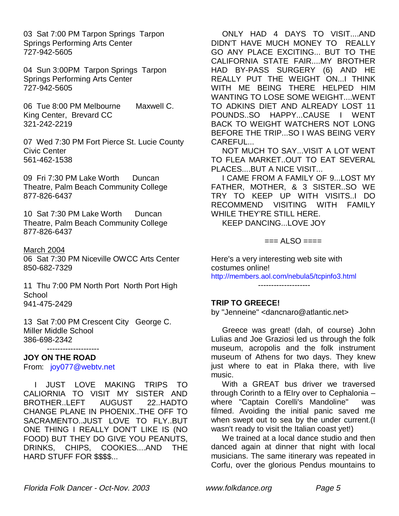03 Sat 7:00 PM Tarpon Springs Tarpon Springs Performing Arts Center 727-942-5605

04 Sun 3:00PM Tarpon Springs Tarpon Springs Performing Arts Center 727-942-5605

06 Tue 8:00 PM Melbourne Maxwell C. King Center, Brevard CC 321-242-2219

07 Wed 7:30 PM Fort Pierce St. Lucie County Civic Center 561-462-1538

09 Fri 7:30 PM Lake Worth Duncan Theatre, Palm Beach Community College 877-826-6437

10 Sat 7:30 PM Lake Worth Duncan Theatre, Palm Beach Community College 877-826-6437

#### March 2004

06 Sat 7:30 PM Niceville OWCC Arts Center 850-682-7329

11 Thu 7:00 PM North Port North Port High School 941-475-2429

13 Sat 7:00 PM Crescent City George C. Miller Middle School 386-698-2342

#### **JOY ON THE ROAD**

From: joy077@webtv.net

--------------------

 I JUST LOVE MAKING TRIPS TO CALIORNIA TO VISIT MY SISTER AND BROTHER..LEFT AUGUST 22..HADTO CHANGE PLANE IN PHOENIX..THE OFF TO SACRAMENTO..JUST LOVE TO FLY..BUT ONE THING I REALLY DON'T LIKE IS (NO FOOD) BUT THEY DO GIVE YOU PEANUTS, DRINKS, CHIPS, COOKIES....AND THE HARD STUFF FOR \$\$\$\$...

 ONLY HAD 4 DAYS TO VISIT....AND DIDN'T HAVE MUCH MONEY TO REALLY GO ANY PLACE EXCITING... BUT TO THE CALIFORNIA STATE FAIR....MY BROTHER HAD BY-PASS SURGERY (6) AND HE REALLY PUT THE WEIGHT ON...I THINK WITH ME BEING THERE HELPED HIM WANTING TO LOSE SOME WEIGHT....WENT TO ADKINS DIET AND ALREADY LOST 11 POUNDS..SO HAPPY...CAUSE I WENT BACK TO WEIGHT WATCHERS NOT LONG BEFORE THE TRIP...SO I WAS BEING VERY CAREFUL...

 NOT MUCH TO SAY...VISIT A LOT WENT TO FLEA MARKET..OUT TO EAT SEVERAL PLACES....BUT A NICE VISIT...

 I CAME FROM A FAMILY OF 9...LOST MY FATHER, MOTHER, & 3 SISTER..SO WE TRY TO KEEP UP WITH VISITS..I DO RECOMMEND VISITING WITH FAMILY WHILE THEY'RE STILL HERE.

KEEP DANCING...LOVE JOY

 $==$  ALSO  $==$ 

Here's a very interesting web site with costumes online! http://members.aol.com/nebula5/tcpinfo3.html

--------------------

## **TRIP TO GREECE!**

by "Jenneine" <dancnaro@atlantic.net>

 Greece was great! (dah, of course) John Lulias and Joe Graziosi led us through the folk museum, acropolis and the folk instrument museum of Athens for two days. They knew just where to eat in Plaka there, with live music.

 With a GREAT bus driver we traversed through Corinth to a fEIry over to Cephalonia – where "Captain Corelli's Mandoline" was filmed. Avoiding the initial panic saved me when swept out to sea by the under current.(I wasn't ready to visit the Italian coast yet!)

 We trained at a local dance studio and then danced again at dinner that night with local musicians. The same itinerary was repeated in Corfu, over the glorious Pendus mountains to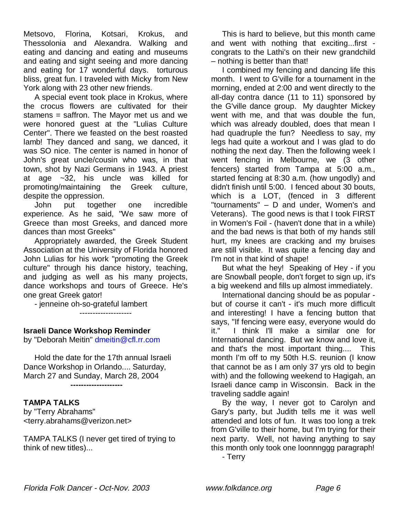Metsovo, Florina, Kotsari, Krokus, and Thessolonia and Alexandra. Walking and eating and dancing and eating and museums and eating and sight seeing and more dancing and eating for 17 wonderful days. torturous bliss, great fun. I traveled with Micky from New York along with 23 other new friends.

 A special event took place in Krokus, where the crocus flowers are cultivated for their stamens = saffron. The Mayor met us and we were honored guest at the "Lulias Culture Center". There we feasted on the best roasted lamb! They danced and sang, we danced, it was SO nice. The center is named in honor of John's great uncle/cousin who was, in that town, shot by Nazi Germans in 1943. A priest at age ~32, his uncle was killed for promoting/maintaining the Greek culture, despite the oppression.

 John put together one incredible experience. As he said, "We saw more of Greece than most Greeks, and danced more dances than most Greeks"

 Appropriately awarded, the Greek Student Association at the University of Florida honored John Lulias for his work "promoting the Greek culture" through his dance history, teaching, and judging as well as his many projects, dance workshops and tours of Greece. He's one great Greek gator!

- jenneine oh-so-grateful lambert

--------------------

## **Israeli Dance Workshop Reminder**

by "Deborah Meitin" dmeitin@cfl.rr.com

 Hold the date for the 17th annual Israeli Dance Workshop in Orlando.... Saturday, March 27 and Sunday, March 28, 2004 **--------------------**

## **TAMPA TALKS**

by "Terry Abrahams" <terry.abrahams@verizon.net>

TAMPA TALKS (I never get tired of trying to think of new titles)...

 This is hard to believe, but this month came and went with nothing that exciting...first congrats to the Lathi's on their new grandchild – nothing is better than that!

 I combined my fencing and dancing life this month. I went to G'ville for a tournament in the morning, ended at 2:00 and went directly to the all-day contra dance (11 to 11) sponsored by the G'ville dance group. My daughter Mickey went with me, and that was double the fun, which was already doubled, does that mean I had quadruple the fun? Needless to say, my legs had quite a workout and I was glad to do nothing the next day. Then the following week I went fencing in Melbourne, we (3 other fencers) started from Tampa at 5:00 a.m., started fencing at 8:30 a.m. (how ungodly) and didn't finish until 5:00. I fenced about 30 bouts, which is a LOT, (fenced in 3 different "tournaments" – D and under, Women's and Veterans). The good news is that I took FIRST in Women's Foil - (haven't done that in a while) and the bad news is that both of my hands still hurt, my knees are cracking and my bruises are still visible. It was quite a fencing day and I'm not in that kind of shape!

 But what the hey! Speaking of Hey - if you are Snowball people, don't forget to sign up, it's a big weekend and fills up almost immediately.

 International dancing should be as popular but of course it can't - it's much more difficult and interesting! I have a fencing button that says, "If fencing were easy, everyone would do it." I think I'll make a similar one for International dancing. But we know and love it, and that's the most important thing.... This month I'm off to my 50th H.S. reunion (I know that cannot be as I am only 37 yrs old to begin with) and the following weekend to Hagigah, an Israeli dance camp in Wisconsin. Back in the traveling saddle again!

 By the way, I never got to Carolyn and Gary's party, but Judith tells me it was well attended and lots of fun. It was too long a trek from G'ville to their home, but I'm trying for their next party. Well, not having anything to say this month only took one loonnnggg paragraph!

- Terry